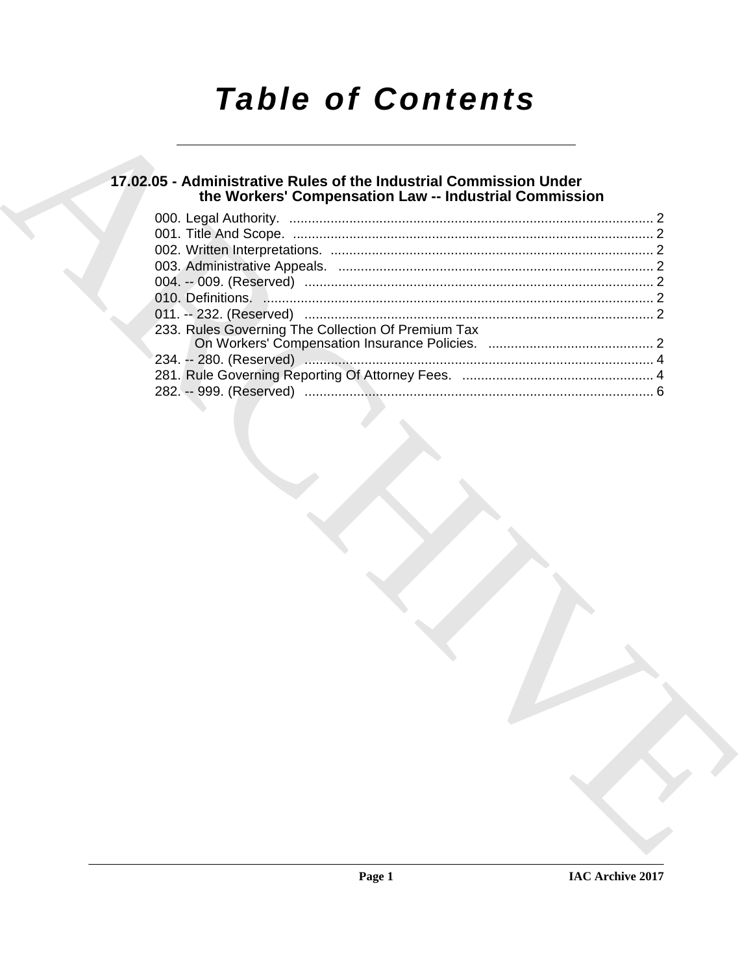# *Table of Contents*

# **17.02.05 - Administrative Rules of the Industrial Commission Under the Workers' Compensation Law -- Industrial Commission**

|  | 233. Rules Governing The Collection Of Premium Tax |  |
|--|----------------------------------------------------|--|
|  |                                                    |  |
|  |                                                    |  |
|  |                                                    |  |
|  |                                                    |  |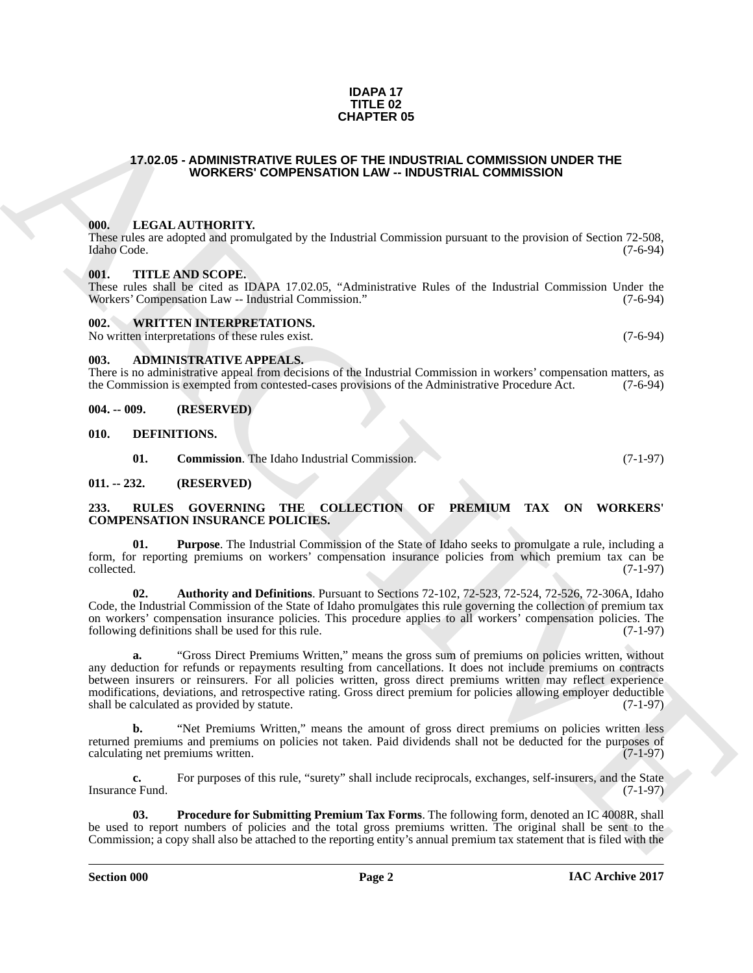### **IDAPA 17 TITLE 02 CHAPTER 05**

# <span id="page-1-0"></span>**17.02.05 - ADMINISTRATIVE RULES OF THE INDUSTRIAL COMMISSION UNDER THE WORKERS' COMPENSATION LAW -- INDUSTRIAL COMMISSION**

## <span id="page-1-1"></span>**000. LEGAL AUTHORITY.**

These rules are adopted and promulgated by the Industrial Commission pursuant to the provision of Section 72-508, Idaho Code. (7-6-94) Idaho Code. (7-6-94)

### <span id="page-1-2"></span>**001. TITLE AND SCOPE.**

These rules shall be cited as IDAPA 17.02.05, "Administrative Rules of the Industrial Commission Under the Workers' Compensation Law -- Industrial Commission." (7-6-94) Workers' Compensation Law -- Industrial Commission."

### <span id="page-1-3"></span>**002. WRITTEN INTERPRETATIONS.**

No written interpretations of these rules exist. (7-6-94)

# <span id="page-1-4"></span>**003. ADMINISTRATIVE APPEALS.**

There is no administrative appeal from decisions of the Industrial Commission in workers' compensation matters, as the Commission is exempted from contested-cases provisions of the Administrative Procedure Act. (7-6-94)

<span id="page-1-5"></span>**004. -- 009. (RESERVED)**

<span id="page-1-6"></span>**010. DEFINITIONS.**

<span id="page-1-14"></span><span id="page-1-11"></span><span id="page-1-10"></span><span id="page-1-9"></span>**01. Commission**. The Idaho Industrial Commission. (7-1-97)

### <span id="page-1-7"></span>**011. -- 232. (RESERVED)**

### <span id="page-1-8"></span>**233. RULES GOVERNING THE COLLECTION OF PREMIUM TAX ON WORKERS' COMPENSATION INSURANCE POLICIES.**

**01. Purpose**. The Industrial Commission of the State of Idaho seeks to promulgate a rule, including a form, for reporting premiums on workers' compensation insurance policies from which premium tax can be collected. (7-1-97) collected. (7-1-97)

<span id="page-1-12"></span>**02. Authority and Definitions**. Pursuant to Sections 72-102, 72-523, 72-524, 72-526, 72-306A, Idaho Code, the Industrial Commission of the State of Idaho promulgates this rule governing the collection of premium tax on workers' compensation insurance policies. This procedure applies to all workers' compensation policies. The following definitions shall be used for this rule. (7-1-97)

**CHAPTER OS**<br> **CHAPTER OS**<br> **CHARCHIVE RUDES AND TRAL COMMISSION UNDER THE CONSULTION CONTINUES AND INTEREST CONSULTION CONSULTION CONSULTION CONSULTION CONSULTION CONSULTION CONSULTION CONSULTION CONSULTION CONSULTION CO a.** "Gross Direct Premiums Written," means the gross sum of premiums on policies written, without any deduction for refunds or repayments resulting from cancellations. It does not include premiums on contracts between insurers or reinsurers. For all policies written, gross direct premiums written may reflect experience modifications, deviations, and retrospective rating. Gross direct premium for policies allowing employer deductible shall be calculated as provided by statute. (7-1-97) shall be calculated as provided by statute.

**b.** "Net Premiums Written," means the amount of gross direct premiums on policies written less returned premiums and premiums on policies not taken. Paid dividends shall not be deducted for the purposes of calculating net premiums written. (7-1-97) calculating net premiums written.

**c.** For purposes of this rule, "surety" shall include reciprocals, exchanges, self-insurers, and the State e Fund. (7-1-97) Insurance Fund.

<span id="page-1-13"></span>**03. Procedure for Submitting Premium Tax Forms**. The following form, denoted an IC 4008R, shall be used to report numbers of policies and the total gross premiums written. The original shall be sent to the Commission; a copy shall also be attached to the reporting entity's annual premium tax statement that is filed with the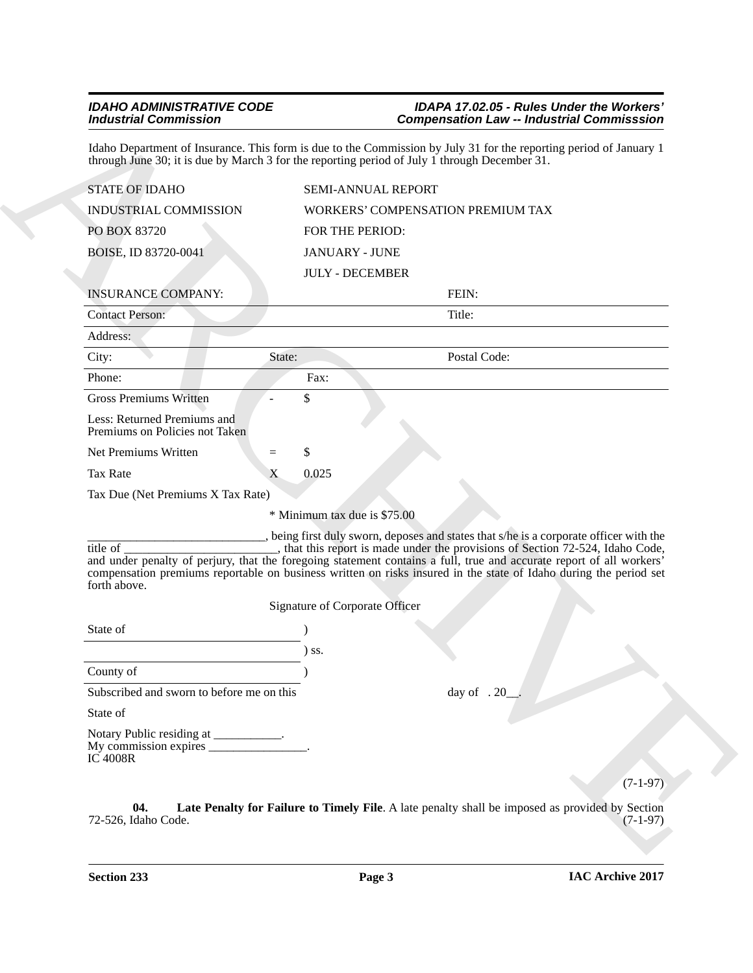# <span id="page-2-0"></span>*IDAHO ADMINISTRATIVE CODE IDAPA 17.02.05 - Rules Under the Workers' Industrial Commission Compensation Law -- Industrial Commisssion*

| Idaho Department of Insurance. This form is due to the Commission by July 31 for the reporting period of January 1<br>through June 30; it is due by March 3 for the reporting period of July 1 through December 31.<br><b>STATE OF IDAHO</b><br>INDUSTRIAL COMMISSION |                       |                                |                                                                                                                                                                        |            |
|-----------------------------------------------------------------------------------------------------------------------------------------------------------------------------------------------------------------------------------------------------------------------|-----------------------|--------------------------------|------------------------------------------------------------------------------------------------------------------------------------------------------------------------|------------|
|                                                                                                                                                                                                                                                                       |                       |                                |                                                                                                                                                                        |            |
|                                                                                                                                                                                                                                                                       |                       | SEMI-ANNUAL REPORT             |                                                                                                                                                                        |            |
|                                                                                                                                                                                                                                                                       |                       |                                | WORKERS' COMPENSATION PREMIUM TAX                                                                                                                                      |            |
| PO BOX 83720                                                                                                                                                                                                                                                          | FOR THE PERIOD:       |                                |                                                                                                                                                                        |            |
| BOISE, ID 83720-0041                                                                                                                                                                                                                                                  | <b>JANUARY - JUNE</b> |                                |                                                                                                                                                                        |            |
|                                                                                                                                                                                                                                                                       |                       | <b>JULY - DECEMBER</b>         |                                                                                                                                                                        |            |
| <b>INSURANCE COMPANY:</b>                                                                                                                                                                                                                                             |                       |                                | FEIN:                                                                                                                                                                  |            |
| <b>Contact Person:</b>                                                                                                                                                                                                                                                |                       |                                | Title:                                                                                                                                                                 |            |
| Address:                                                                                                                                                                                                                                                              |                       |                                |                                                                                                                                                                        |            |
| City:                                                                                                                                                                                                                                                                 | State:                |                                | Postal Code:                                                                                                                                                           |            |
| Phone:                                                                                                                                                                                                                                                                | Fax:                  |                                |                                                                                                                                                                        |            |
| <b>Gross Premiums Written</b>                                                                                                                                                                                                                                         | \$                    |                                |                                                                                                                                                                        |            |
| Less: Returned Premiums and<br>Premiums on Policies not Taken                                                                                                                                                                                                         |                       |                                |                                                                                                                                                                        |            |
| Net Premiums Written                                                                                                                                                                                                                                                  | \$<br>$=$             |                                |                                                                                                                                                                        |            |
| <b>Tax Rate</b>                                                                                                                                                                                                                                                       | 0.025<br>X            |                                |                                                                                                                                                                        |            |
| Tax Due (Net Premiums X Tax Rate)                                                                                                                                                                                                                                     |                       |                                |                                                                                                                                                                        |            |
|                                                                                                                                                                                                                                                                       |                       | * Minimum tax due is \$75.00   |                                                                                                                                                                        |            |
| title of<br>and under penalty of perjury, that the foregoing statement contains a full, true and accurate report of all workers'<br>compensation premiums reportable on business written on risks insured in the state of Idaho during the period set<br>forth above. |                       | Signature of Corporate Officer | being first duly sworn, deposes and states that s/he is a corporate officer with the<br>, that this report is made under the provisions of Section 72-524, Idaho Code, |            |
|                                                                                                                                                                                                                                                                       |                       |                                |                                                                                                                                                                        |            |
| State of                                                                                                                                                                                                                                                              |                       |                                |                                                                                                                                                                        |            |
|                                                                                                                                                                                                                                                                       | $)$ ss.               |                                |                                                                                                                                                                        |            |
| County of                                                                                                                                                                                                                                                             |                       |                                |                                                                                                                                                                        |            |
| Subscribed and sworn to before me on this                                                                                                                                                                                                                             |                       |                                | day of $.20$                                                                                                                                                           |            |
| State of                                                                                                                                                                                                                                                              |                       |                                |                                                                                                                                                                        |            |
| Notary Public residing at __________.<br>My commission expires ________________.<br><b>IC 4008R</b>                                                                                                                                                                   |                       |                                |                                                                                                                                                                        |            |
|                                                                                                                                                                                                                                                                       |                       |                                |                                                                                                                                                                        | $(7-1-97)$ |
|                                                                                                                                                                                                                                                                       |                       |                                | Late Penalty for Failure to Timely File. A late penalty shall be imposed as provided by Section                                                                        |            |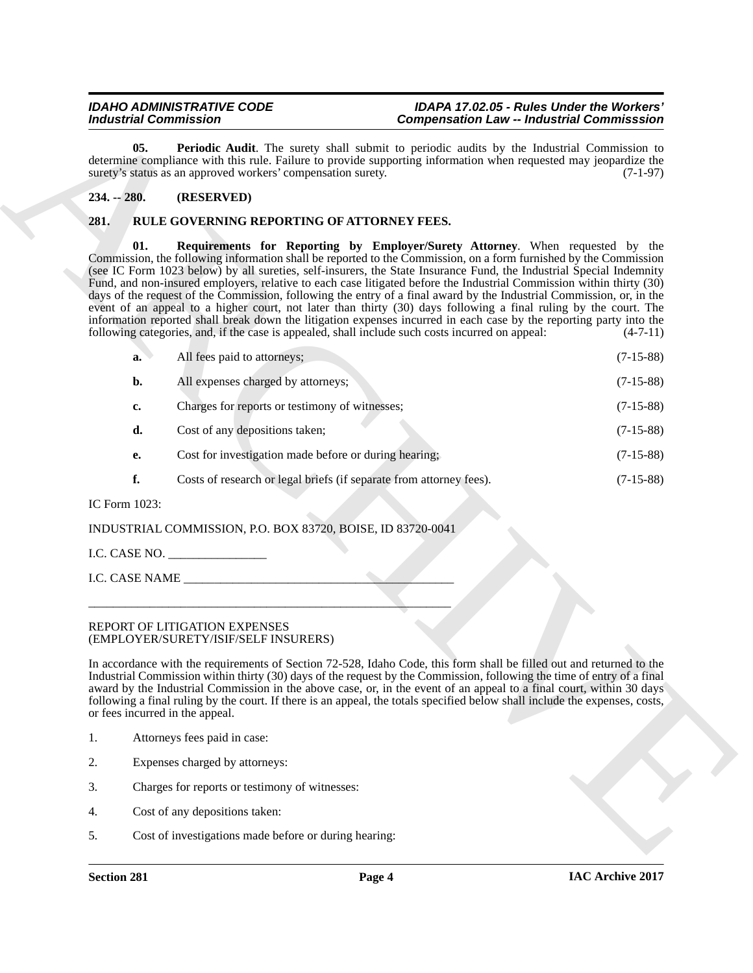# <span id="page-3-4"></span><span id="page-3-0"></span>**234. -- 280. (RESERVED)**

# <span id="page-3-3"></span><span id="page-3-2"></span><span id="page-3-1"></span>**281. RULE GOVERNING REPORTING OF ATTORNEY FEES.**

| <b>Industrial Commission</b> |                                                                       | <b>Compensation Law -- Industrial Commisssion</b>                                                                                                                                                                                                                                                                                                                                                                                                                                                                                                                                                                                                                                                                                                                                                                                                                                                                       |             |  |
|------------------------------|-----------------------------------------------------------------------|-------------------------------------------------------------------------------------------------------------------------------------------------------------------------------------------------------------------------------------------------------------------------------------------------------------------------------------------------------------------------------------------------------------------------------------------------------------------------------------------------------------------------------------------------------------------------------------------------------------------------------------------------------------------------------------------------------------------------------------------------------------------------------------------------------------------------------------------------------------------------------------------------------------------------|-------------|--|
| 05.                          | surety's status as an approved workers' compensation surety.          | Periodic Audit. The surety shall submit to periodic audits by the Industrial Commission to<br>determine compliance with this rule. Failure to provide supporting information when requested may jeopardize the                                                                                                                                                                                                                                                                                                                                                                                                                                                                                                                                                                                                                                                                                                          | $(7-1-97)$  |  |
| $234. - 280.$                | (RESERVED)                                                            |                                                                                                                                                                                                                                                                                                                                                                                                                                                                                                                                                                                                                                                                                                                                                                                                                                                                                                                         |             |  |
| 281.                         | RULE GOVERNING REPORTING OF ATTORNEY FEES.                            |                                                                                                                                                                                                                                                                                                                                                                                                                                                                                                                                                                                                                                                                                                                                                                                                                                                                                                                         |             |  |
| 01.                          |                                                                       | Requirements for Reporting by Employer/Surety Attorney. When requested by the<br>Commission, the following information shall be reported to the Commission, on a form furnished by the Commission<br>(see IC Form 1023 below) by all sureties, self-insurers, the State Insurance Fund, the Industrial Special Indemnity<br>Fund, and non-insured employers, relative to each case litigated before the Industrial Commission within thirty (30)<br>days of the request of the Commission, following the entry of a final award by the Industrial Commission, or, in the<br>event of an appeal to a higher court, not later than thirty (30) days following a final ruling by the court. The<br>information reported shall break down the litigation expenses incurred in each case by the reporting party into the<br>following categories, and, if the case is appealed, shall include such costs incurred on appeal: | $(4-7-11)$  |  |
| a.                           | All fees paid to attorneys;                                           |                                                                                                                                                                                                                                                                                                                                                                                                                                                                                                                                                                                                                                                                                                                                                                                                                                                                                                                         | $(7-15-88)$ |  |
| b.                           | All expenses charged by attorneys;                                    |                                                                                                                                                                                                                                                                                                                                                                                                                                                                                                                                                                                                                                                                                                                                                                                                                                                                                                                         | $(7-15-88)$ |  |
| c.                           | Charges for reports or testimony of witnesses;                        |                                                                                                                                                                                                                                                                                                                                                                                                                                                                                                                                                                                                                                                                                                                                                                                                                                                                                                                         | $(7-15-88)$ |  |
| d.                           | Cost of any depositions taken;                                        |                                                                                                                                                                                                                                                                                                                                                                                                                                                                                                                                                                                                                                                                                                                                                                                                                                                                                                                         | $(7-15-88)$ |  |
| е.                           | Cost for investigation made before or during hearing;                 |                                                                                                                                                                                                                                                                                                                                                                                                                                                                                                                                                                                                                                                                                                                                                                                                                                                                                                                         | $(7-15-88)$ |  |
| f.                           | Costs of research or legal briefs (if separate from attorney fees).   |                                                                                                                                                                                                                                                                                                                                                                                                                                                                                                                                                                                                                                                                                                                                                                                                                                                                                                                         | $(7-15-88)$ |  |
| IC Form 1023:                |                                                                       |                                                                                                                                                                                                                                                                                                                                                                                                                                                                                                                                                                                                                                                                                                                                                                                                                                                                                                                         |             |  |
|                              | INDUSTRIAL COMMISSION, P.O. BOX 83720, BOISE, ID 83720-0041           |                                                                                                                                                                                                                                                                                                                                                                                                                                                                                                                                                                                                                                                                                                                                                                                                                                                                                                                         |             |  |
|                              | I.C. CASE NO. $\_\_\_\_\_\_\_\_\_\_\_\_\_\_\_\_\_\_$                  |                                                                                                                                                                                                                                                                                                                                                                                                                                                                                                                                                                                                                                                                                                                                                                                                                                                                                                                         |             |  |
|                              | I.C. CASE NAME                                                        |                                                                                                                                                                                                                                                                                                                                                                                                                                                                                                                                                                                                                                                                                                                                                                                                                                                                                                                         |             |  |
|                              |                                                                       |                                                                                                                                                                                                                                                                                                                                                                                                                                                                                                                                                                                                                                                                                                                                                                                                                                                                                                                         |             |  |
|                              | REPORT OF LITIGATION EXPENSES<br>(EMPLOYER/SURETY/ISIF/SELF INSURERS) |                                                                                                                                                                                                                                                                                                                                                                                                                                                                                                                                                                                                                                                                                                                                                                                                                                                                                                                         |             |  |
|                              | or fees incurred in the appeal.                                       | In accordance with the requirements of Section 72-528, Idaho Code, this form shall be filled out and returned to the<br>Industrial Commission within thirty (30) days of the request by the Commission, following the time of entry of a final<br>award by the Industrial Commission in the above case, or, in the event of an appeal to a final court, within 30 days<br>following a final ruling by the court. If there is an appeal, the totals specified below shall include the expenses, costs,                                                                                                                                                                                                                                                                                                                                                                                                                   |             |  |
| 1.                           | Attorneys fees paid in case:                                          |                                                                                                                                                                                                                                                                                                                                                                                                                                                                                                                                                                                                                                                                                                                                                                                                                                                                                                                         |             |  |
|                              | Expenses charged by attorneys:                                        |                                                                                                                                                                                                                                                                                                                                                                                                                                                                                                                                                                                                                                                                                                                                                                                                                                                                                                                         |             |  |
| 2.                           |                                                                       |                                                                                                                                                                                                                                                                                                                                                                                                                                                                                                                                                                                                                                                                                                                                                                                                                                                                                                                         |             |  |
| 3.                           | Charges for reports or testimony of witnesses:                        |                                                                                                                                                                                                                                                                                                                                                                                                                                                                                                                                                                                                                                                                                                                                                                                                                                                                                                                         |             |  |
| 4.                           | Cost of any depositions taken:                                        |                                                                                                                                                                                                                                                                                                                                                                                                                                                                                                                                                                                                                                                                                                                                                                                                                                                                                                                         |             |  |

### REPORT OF LITIGATION EXPENSES (EMPLOYER/SURETY/ISIF/SELF INSURERS)

- 1. Attorneys fees paid in case:
- 2. Expenses charged by attorneys:
- 3. Charges for reports or testimony of witnesses:
- 4. Cost of any depositions taken:
- 5. Cost of investigations made before or during hearing: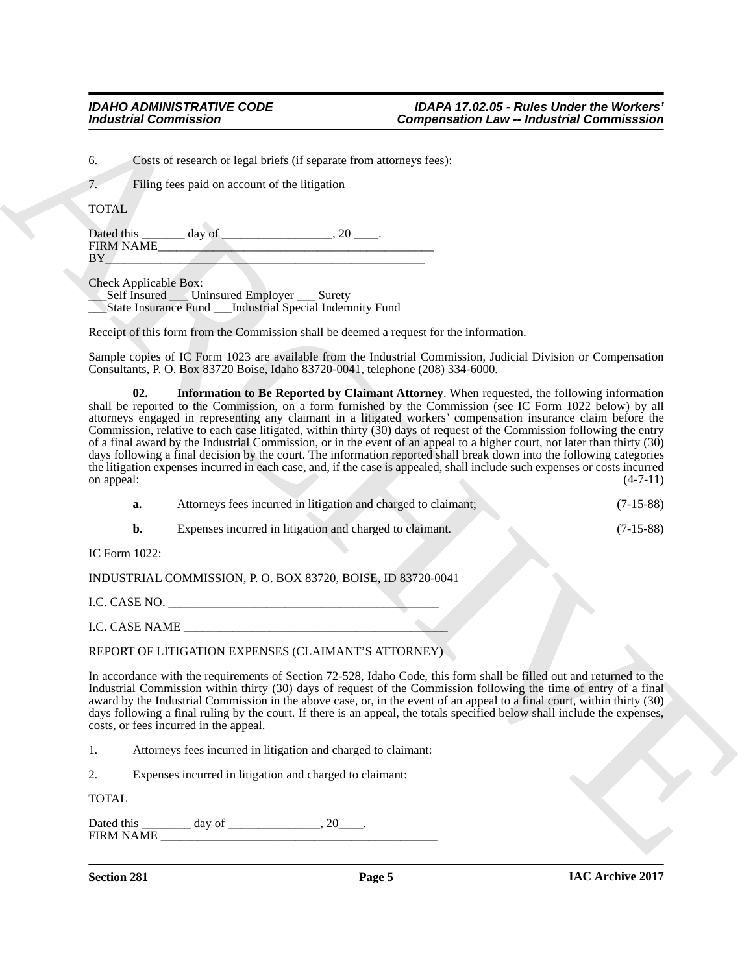6. Costs of research or legal briefs (if separate from attorneys fees):

7. Filing fees paid on account of the litigation

TOTAL

Dated this day of the case of the case of the case of the case of the case of the case of the case of the case of the case of the case of the case of the case of the case of the case of the case of the case of the case of FIRM NAME\_<br>BY  $BY$   $\overline{BY}$   $\overline{BY}$   $\overline{Y}$   $\overline{Y}$   $\overline{Y}$   $\overline{Y}$   $\overline{Y}$   $\overline{Y}$   $\overline{Y}$   $\overline{Y}$   $\overline{Y}$   $\overline{Y}$   $\overline{Y}$   $\overline{Y}$   $\overline{Y}$   $\overline{Y}$   $\overline{Y}$   $\overline{Y}$   $\overline{Y}$   $\overline{Y}$   $\overline{Y}$   $\overline{Y}$   $\overline{Y}$   $\overline{Y}$ 

Check Applicable Box:

\_\_\_Self Insured \_\_\_ Uninsured Employer \_\_\_ Surety

\_\_\_State Insurance Fund \_\_\_Industrial Special Indemnity Fund

Receipt of this form from the Commission shall be deemed a request for the information.

<span id="page-4-0"></span>Sample copies of IC Form 1023 are available from the Industrial Commission, Judicial Division or Compensation Consultants, P. O. Box 83720 Boise, Idaho 83720-0041, telephone (208) 334-6000.

For the state of the state of the state of the state of the state of the state of the state of the state of the state of the state of the state of the state of the state of the state of the state of the state of the state **02. Information to Be Reported by Claimant Attorney**. When requested, the following information shall be reported to the Commission, on a form furnished by the Commission (see IC Form 1022 below) by all attorneys engaged in representing any claimant in a litigated workers' compensation insurance claim before the Commission, relative to each case litigated, within thirty (30) days of request of the Commission following the entry of a final award by the Industrial Commission, or in the event of an appeal to a higher court, not later than thirty (30) days following a final decision by the court. The information reported shall break down into the following categories the litigation expenses incurred in each case, and, if the case is appealed, shall include such expenses or costs incurred<br>on appeal:  $(4-7-11)$ on appeal:  $(4-7-11)$ 

| Attorneys fees incurred in litigation and charged to claimant; | $(7-15-88)$ |
|----------------------------------------------------------------|-------------|
| Expenses incurred in litigation and charged to claimant.       | $(7-15-88)$ |

IC Form 1022:

INDUSTRIAL COMMISSION, P. O. BOX 83720, BOISE, ID 83720-0041

I.C. CASE NO.

I.C. CASE NAME

# REPORT OF LITIGATION EXPENSES (CLAIMANT'S ATTORNEY)

In accordance with the requirements of Section 72-528, Idaho Code, this form shall be filled out and returned to the Industrial Commission within thirty (30) days of request of the Commission following the time of entry of a final award by the Industrial Commission in the above case, or, in the event of an appeal to a final court, within thirty (30) days following a final ruling by the court. If there is an appeal, the totals specified below shall include the expenses, costs, or fees incurred in the appeal.

1. Attorneys fees incurred in litigation and charged to claimant:

2. Expenses incurred in litigation and charged to claimant:

TOTAL

Dated this \_\_\_\_\_\_\_\_\_ day of \_\_\_\_\_\_\_\_\_\_\_\_\_\_, 20\_\_\_\_. FIRM NAME

**Section 281 Page 5**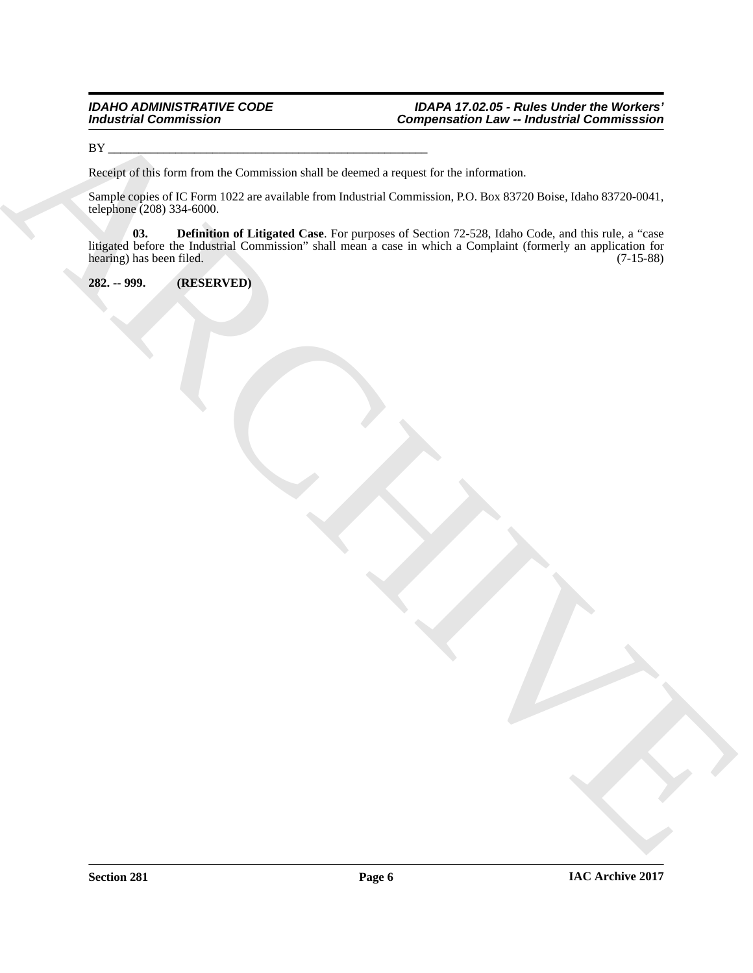BY \_\_\_\_\_\_\_\_\_\_\_\_\_\_\_\_\_\_\_\_\_\_\_\_\_\_\_\_\_\_\_\_\_\_\_\_\_\_\_\_\_\_\_\_\_\_\_\_\_\_\_\_

Receipt of this form from the Commission shall be deemed a request for the information.

<span id="page-5-1"></span>Sample copies of IC Form 1022 are available from Industrial Commission, P.O. Box 83720 Boise, Idaho 83720-0041, telephone (208) 334-6000.

For the system of the formulation of the term of the second to request for the information of the continental community.<br>
Namely scribe for the formulation of the formulation of the second to contain a P.O. Don 8770 Doles **03. Definition of Litigated Case**. For purposes of Section 72-528, Idaho Code, and this rule, a "case litigated before the Industrial Commission" shall mean a case in which a Complaint (formerly an application for hearing) has been filed. (7-15-88) hearing) has been filed.

<span id="page-5-0"></span>**282. -- 999. (RESERVED)**